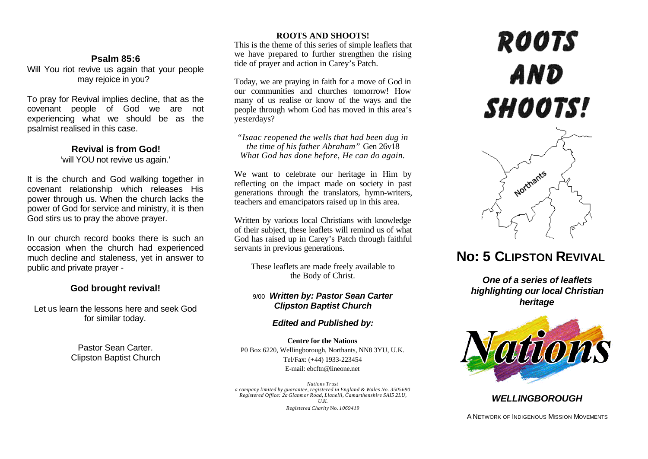#### **Psalm 85:6**

Will You riot revive us again that your people may rejoice in you?

To pray for Revival implies decline, that as the covenant people of God we are not experiencing what we should be as the psalmist realised in this case.

## **Revival is from God!**

'will YOU not revive us again.'

It is the church and God walking together in covenant relationship which releases His power through us. When the church lacks the power of God for service and ministry, it is then God stirs us to pray the above prayer.

In our church record books there is such an occasion when the church had experienced much decline and staleness, yet in answer to public and private prayer -

### **God brought revival!**

Let us learn the lessons here and seek God for similar today.

> Pastor Sean Carter. Clipston Baptist Church

#### **ROOTS AND SHOOTS!**

This is the theme of this series of simple leaflets that we have prepared to further strengthen the rising tide of prayer and action in Carey's Patch.

Today, we are praying in faith for a move of God in our communities and churches tomorrow! How many of us realise or know of the ways and the people through whom God has moved in this area's yesterdays?

*"Isaac reopened the wells that had been dug in the time of his father Abraham"* Gen 26v18 *What God has done before, He can do again.*

We want to celebrate our heritage in Him by reflecting on the impact made on society in past generations through the translators, hymn-writers, teachers and emancipators raised up in this area.

Written by various local Christians with knowledge of their subject, these leaflets will remind us of what God has raised up in Carey's Patch through faithful servants in previous generations.

These leaflets are made freely available to the Body of Christ.

#### 9/00 *Written by: Pastor Sean Carter Clipston Baptist Church*

#### *Edited and Published by:*

**Centre for the Nations** P0 Box 6220, Wellingborough, Northants, NN8 3YU, U.K. Tel/Fax: (+44) 1933-223454 E-mail: ebcftn@lineone.net

*Nations Trust a company limited by guarantee, registered in England & Wales No. 3505690 Registered Office: 2a Glanmor Road, Llanelli, Camarthenshire SAI5 2LU, U.K. Registered Charity* No. *1069419*

# **ROOTS** AND **SHOOTS!**



# **No: 5 CLIPSTON REVIVAL**

*One of a series of leaflets highlighting our local Christian heritage*



#### *WELLINGBOROUGH*

A NETWORK OF INDIGENOUS MISSION MOVEMENTS